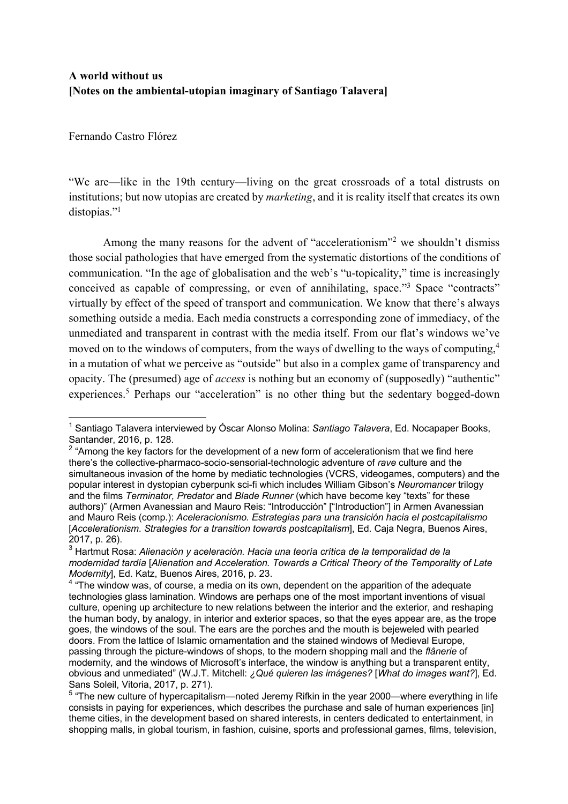## **A world without us [Notes on the ambiental-utopian imaginary of Santiago Talavera]**

Fernando Castro Flórez

"We are—like in the 19th century—living on the great crossroads of a total distrusts on institutions; but now utopias are created by *marketing*, and it is reality itself that creates its own distopias."<sup>1</sup>

Among the many reasons for the advent of "accelerationism"<sup>2</sup> we shouldn't dismiss those social pathologies that have emerged from the systematic distortions of the conditions of communication. "In the age of globalisation and the web's "u-topicality," time is increasingly conceived as capable of compressing, or even of annihilating, space."3 Space "contracts" virtually by effect of the speed of transport and communication. We know that there's always something outside a media. Each media constructs a corresponding zone of immediacy, of the unmediated and transparent in contrast with the media itself. From our flat's windows we've moved on to the windows of computers, from the ways of dwelling to the ways of computing,<sup>4</sup> in a mutation of what we perceive as "outside" but also in a complex game of transparency and opacity. The (presumed) age of *access* is nothing but an economy of (supposedly) "authentic" experiences.<sup>5</sup> Perhaps our "acceleration" is no other thing but the sedentary bogged-down

<sup>1</sup> Santiago Talavera interviewed by Óscar Alonso Molina: *Santiago Talavera*, Ed. Nocapaper Books, Santander, 2016, p. 128.

 $2$  "Among the key factors for the development of a new form of accelerationism that we find here there's the collective-pharmaco-socio-sensorial-technologic adventure of *rave* culture and the simultaneous invasion of the home by mediatic technologies (VCRS, videogames, computers) and the popular interest in dystopian cyberpunk sci-fi which includes William Gibson's *Neuromancer* trilogy and the films *Terminator, Predator* and *Blade Runner* (which have become key "texts" for these authors)" (Armen Avanessian and Mauro Reis: "Introducción" ["Introduction"] in Armen Avanessian and Mauro Reis (comp.): *Aceleracionismo. Estrategias para una transición hacia el postcapitalismo* [*Accelerationism*. *Strategies for a transition towards postcapitalism*], Ed. Caja Negra, Buenos Aires, 2017, p. 26).

<sup>3</sup> Hartmut Rosa: *Alienación y aceleración. Hacia una teoría crítica de la temporalidad de la modernidad tardía* [*Alienation and Acceleration. Towards a Critical Theory of the Temporality of Late Modernity*], Ed. Katz, Buenos Aires, 2016, p. 23.

<sup>&</sup>lt;sup>4</sup> "The window was, of course, a media on its own, dependent on the apparition of the adequate technologies glass lamination. Windows are perhaps one of the most important inventions of visual culture, opening up architecture to new relations between the interior and the exterior, and reshaping the human body, by analogy, in interior and exterior spaces, so that the eyes appear are, as the trope goes, the windows of the soul. The ears are the porches and the mouth is bejeweled with pearled doors. From the lattice of Islamic ornamentation and the stained windows of Medieval Europe, passing through the picture-windows of shops, to the modern shopping mall and the *flânerie* of modernity*,* and the windows of Microsoft's interface, the window is anything but a transparent entity, obvious and unmediated" (W.J.T. Mitchell: *¿Qué quieren las imágenes?* [*What do images want?*], Ed. Sans Soleil, Vitoria, 2017, p. 271).

<sup>&</sup>lt;sup>5</sup> "The new culture of hypercapitalism—noted Jeremy Rifkin in the year 2000—where everything in life consists in paying for experiences, which describes the purchase and sale of human experiences [in] theme cities, in the development based on shared interests, in centers dedicated to entertainment, in shopping malls, in global tourism, in fashion, cuisine, sports and professional games, films, television,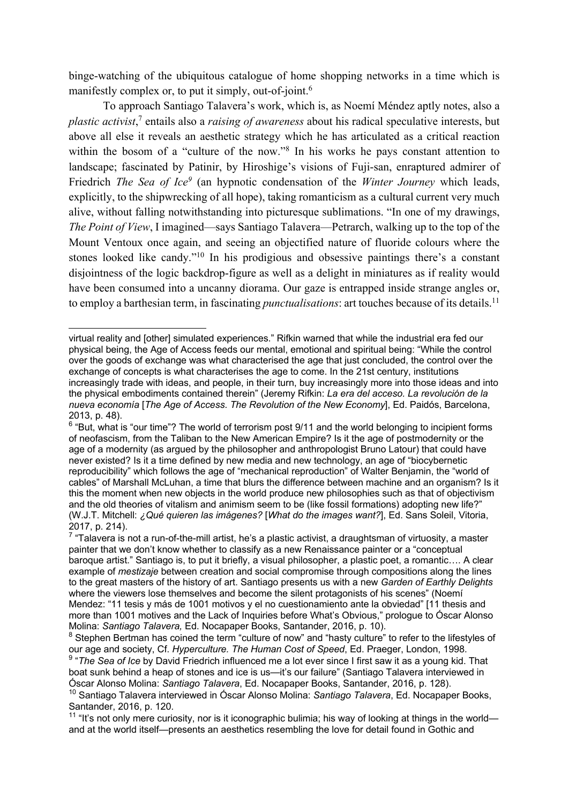binge-watching of the ubiquitous catalogue of home shopping networks in a time which is manifestly complex or, to put it simply, out-of-joint.<sup>6</sup>

To approach Santiago Talavera's work, which is, as Noemí Méndez aptly notes, also a *plastic activist*, <sup>7</sup> entails also a *raising of awareness* about his radical speculative interests, but above all else it reveals an aesthetic strategy which he has articulated as a critical reaction within the bosom of a "culture of the now."<sup>8</sup> In his works he pays constant attention to landscape; fascinated by Patinir, by Hiroshige's visions of Fuji-san, enraptured admirer of Friedrich *The Sea of Ice9* (an hypnotic condensation of the *Winter Journey* which leads, explicitly, to the shipwrecking of all hope), taking romanticism as a cultural current very much alive, without falling notwithstanding into picturesque sublimations. "In one of my drawings, *The Point of View*, I imagined—says Santiago Talavera—Petrarch, walking up to the top of the Mount Ventoux once again, and seeing an objectified nature of fluoride colours where the stones looked like candy."10 In his prodigious and obsessive paintings there's a constant disjointness of the logic backdrop-figure as well as a delight in miniatures as if reality would have been consumed into a uncanny diorama. Our gaze is entrapped inside strange angles or, to employ a barthesian term, in fascinating *punctualisations*: art touches because of its details.11

virtual reality and [other] simulated experiences." Rifkin warned that while the industrial era fed our physical being, the Age of Access feeds our mental, emotional and spiritual being: "While the control over the goods of exchange was what characterised the age that just concluded, the control over the exchange of concepts is what characterises the age to come. In the 21st century, institutions increasingly trade with ideas, and people, in their turn, buy increasingly more into those ideas and into the physical embodiments contained therein" (Jeremy Rifkin: *La era del acceso. La revolución de la nueva economía* [*The Age of Access*. *The Revolution of the New Economy*], Ed. Paidós, Barcelona, 2013, p. 48).

<sup>6 &</sup>quot;But, what is "our time"? The world of terrorism post 9/11 and the world belonging to incipient forms of neofascism, from the Taliban to the New American Empire? Is it the age of postmodernity or the age of a modernity (as argued by the philosopher and anthropologist Bruno Latour) that could have never existed? Is it a time defined by new media and new technology, an age of "biocybernetic reproducibility" which follows the age of "mechanical reproduction" of Walter Benjamin, the "world of cables" of Marshall McLuhan, a time that blurs the difference between machine and an organism? Is it this the moment when new objects in the world produce new philosophies such as that of objectivism and the old theories of vitalism and animism seem to be (like fossil formations) adopting new life?" (W.J.T. Mitchell: *¿Qué quieren las imágenes?* [*What do the images want?*], Ed. Sans Soleil, Vitoria, 2017, p. 214).

 $7$  "Talavera is not a run-of-the-mill artist, he's a plastic activist, a draughtsman of virtuosity, a master painter that we don't know whether to classify as a new Renaissance painter or a "conceptual baroque artist." Santiago is, to put it briefly, a visual philosopher, a plastic poet, a romantic…. A clear example of *mestizaje* between creation and social compromise through compositions along the lines to the great masters of the history of art. Santiago presents us with a new *Garden of Earthly Delights*  where the viewers lose themselves and become the silent protagonists of his scenes" (Noemí Mendez: "11 tesis y más de 1001 motivos y el no cuestionamiento ante la obviedad" [11 thesis and more than 1001 motives and the Lack of Inquiries before What's Obvious," prologue to Óscar Alonso Molina: *Santiago Talavera,* Ed. Nocapaper Books, Santander, 2016, p. 10).

<sup>8</sup> Stephen Bertman has coined the term "culture of now" and "hasty culture" to refer to the lifestyles of our age and society, Cf. *Hyperculture. The Human Cost of Speed*, Ed. Praeger, London, 1998.

<sup>9</sup> "*The Sea of Ice* by David Friedrich influenced me a lot ever since I first saw it as a young kid. That boat sunk behind a heap of stones and ice is us—it's our failure" (Santiago Talavera interviewed in Óscar Alonso Molina: *Santiago Talavera*, Ed. Nocapaper Books, Santander, 2016, p. 128).

<sup>10</sup> Santiago Talavera interviewed in Óscar Alonso Molina: *Santiago Talavera*, Ed. Nocapaper Books, Santander, 2016, p. 120.

<sup>&</sup>lt;sup>11</sup> "It's not only mere curiosity, nor is it iconographic bulimia; his way of looking at things in the world and at the world itself—presents an aesthetics resembling the love for detail found in Gothic and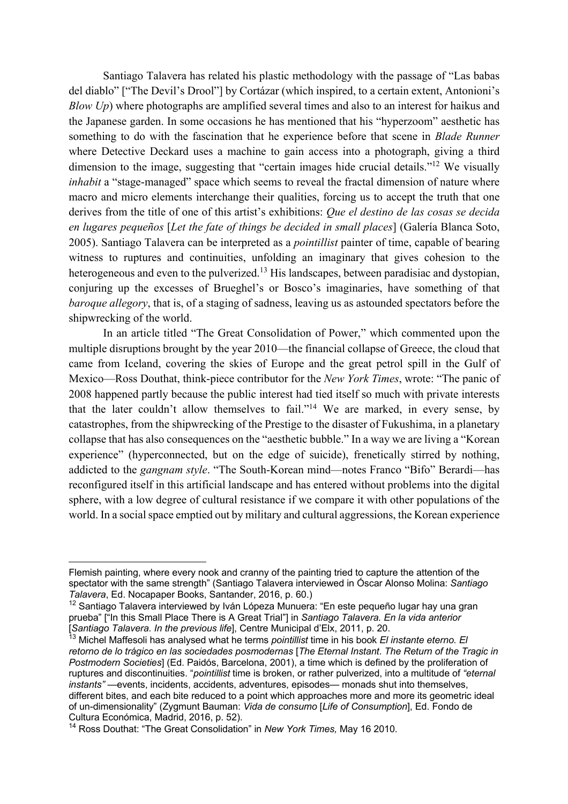Santiago Talavera has related his plastic methodology with the passage of "Las babas del diablo" ["The Devil's Drool"] by Cortázar (which inspired, to a certain extent, Antonioni's *Blow Up*) where photographs are amplified several times and also to an interest for haikus and the Japanese garden. In some occasions he has mentioned that his "hyperzoom" aesthetic has something to do with the fascination that he experience before that scene in *Blade Runner*  where Detective Deckard uses a machine to gain access into a photograph, giving a third dimension to the image, suggesting that "certain images hide crucial details."<sup>12</sup> We visually *inhabit* a "stage-managed" space which seems to reveal the fractal dimension of nature where macro and micro elements interchange their qualities, forcing us to accept the truth that one derives from the title of one of this artist's exhibitions: *Que el destino de las cosas se decida en lugares pequeños* [*Let the fate of things be decided in small places*] (Galería Blanca Soto, 2005). Santiago Talavera can be interpreted as a *pointillist* painter of time, capable of bearing witness to ruptures and continuities, unfolding an imaginary that gives cohesion to the heterogeneous and even to the pulverized.<sup>13</sup> His landscapes, between paradisiac and dystopian, conjuring up the excesses of Brueghel's or Bosco's imaginaries, have something of that *baroque allegory*, that is, of a staging of sadness, leaving us as astounded spectators before the shipwrecking of the world.

In an article titled "The Great Consolidation of Power," which commented upon the multiple disruptions brought by the year 2010—the financial collapse of Greece, the cloud that came from Iceland, covering the skies of Europe and the great petrol spill in the Gulf of Mexico—Ross Douthat, think-piece contributor for the *New York Times*, wrote: "The panic of 2008 happened partly because the public interest had tied itself so much with private interests that the later couldn't allow themselves to fail."14 We are marked, in every sense, by catastrophes, from the shipwrecking of the Prestige to the disaster of Fukushima, in a planetary collapse that has also consequences on the "aesthetic bubble." In a way we are living a "Korean experience" (hyperconnected, but on the edge of suicide), frenetically stirred by nothing, addicted to the *gangnam style*. "The South-Korean mind—notes Franco "Bifo" Berardi—has reconfigured itself in this artificial landscape and has entered without problems into the digital sphere, with a low degree of cultural resistance if we compare it with other populations of the world. In a social space emptied out by military and cultural aggressions, the Korean experience

Flemish painting, where every nook and cranny of the painting tried to capture the attention of the spectator with the same strength" (Santiago Talavera interviewed in Óscar Alonso Molina: *Santiago Talavera*, Ed. Nocapaper Books, Santander, 2016, p. 60.)

<sup>12</sup> Santiago Talavera interviewed by Iván Lópeza Munuera: "En este pequeño lugar hay una gran prueba" ["In this Small Place There is A Great Trial"] in *Santiago Talavera. En la vida anterior*  [*Santiago Talavera. In the previous life*], Centre Municipal d'Elx, 2011, p. 20.

<sup>13</sup> Michel Maffesoli has analysed what he terms *pointillist* time in his book *El instante eterno. El retorno de lo trágico en las sociedades posmodernas* [*The Eternal Instant*. *The Return of the Tragic in Postmodern Societies*] (Ed. Paidós, Barcelona, 2001), a time which is defined by the proliferation of ruptures and discontinuities. "*pointillist* time is broken, or rather pulverized, into a multitude of *"eternal instants"* —events, incidents, accidents, adventures, episodes— monads shut into themselves, different bites, and each bite reduced to a point which approaches more and more its geometric ideal of un-dimensionality" (Zygmunt Bauman: *Vida de consumo* [*Life of Consumption*], Ed. Fondo de Cultura Económica, Madrid, 2016, p. 52).

<sup>14</sup> Ross Douthat: "The Great Consolidation" in *New York Times,* May 16 2010*.*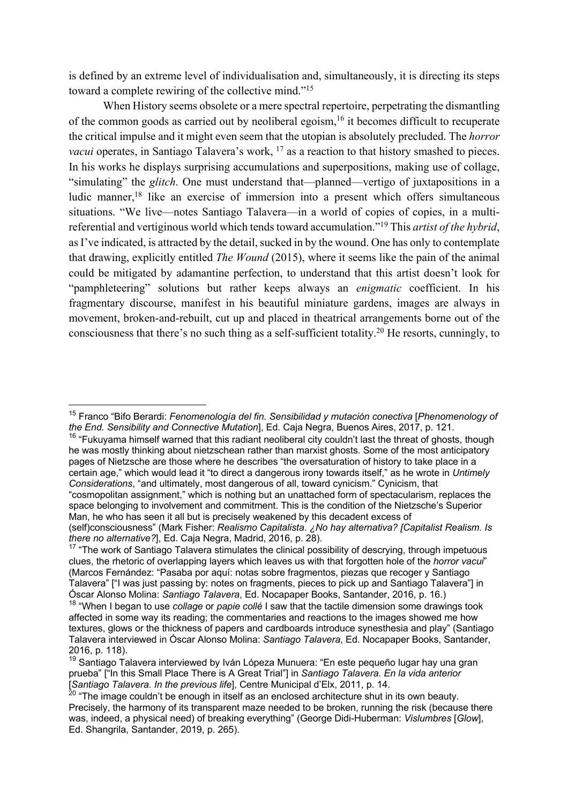is defined by an extreme level of individualisation and, simultaneously, it is directing its steps toward a complete rewiring of the collective mind."15

When History seems obsolete or a mere spectral repertoire, perpetrating the dismantling of the common goods as carried out by neoliberal egoism.<sup>16</sup> it becomes difficult to recuperate the critical impulse and it might even seem that the utopian is absolutely precluded. The *horror vacui* operates, in Santiago Talavera's work, <sup>17</sup> as a reaction to that history smashed to pieces. In his works he displays surprising accumulations and superpositions, making use of collage, "simulating" the *glitch*. One must understand that—planned—vertigo of juxtapositions in a ludic manner,<sup>18</sup> like an exercise of immersion into a present which offers simultaneous situations. "We live—notes Santiago Talavera—in a world of copies of copies, in a multireferential and vertiginous world which tends toward accumulation."19 This *artist of the hybrid*, as I've indicated, is attracted by the detail, sucked in by the wound. One has only to contemplate that drawing, explicitly entitled *The Wound* (2015), where it seems like the pain of the animal could be mitigated by adamantine perfection, to understand that this artist doesn't look for "pamphleteering" solutions but rather keeps always an *enigmatic* coefficient. In his fragmentary discourse, manifest in his beautiful miniature gardens, images are always in movement, broken-and-rebuilt, cut up and placed in theatrical arrangements borne out of the consciousness that there's no such thing as a self-sufficient totality.20 He resorts, cunningly, to

<sup>15</sup> Franco "Bifo Berardi: *Fenomenología del fin. Sensibilidad y mutación conectiva* [*Phenomenology of the End. Sensibility and Connective Mutation*], Ed. Caja Negra, Buenos Aires, 2017, p. 121.

<sup>&</sup>lt;sup>16</sup> "Fukuyama himself warned that this radiant neoliberal city couldn't last the threat of ghosts, though he was mostly thinking about nietzschean rather than marxist ghosts. Some of the most anticipatory pages of Nietzsche are those where he describes "the oversaturation of history to take place in a certain age," which would lead it "to direct a dangerous irony towards itself," as he wrote in *Untimely Considerations*, "and ultimately, most dangerous of all, toward cynicism." Cynicism, that "cosmopolitan assignment," which is nothing but an unattached form of spectacularism, replaces the

space belonging to involvement and commitment. This is the condition of the Nietzsche's Superior Man, he who has seen it all but is precisely weakened by this decadent excess of

<sup>(</sup>self)consciousness" (Mark Fisher: *Realismo Capitalista*. *¿No hay alternativa? [Capitalist Realism. Is there no alternative?*], Ed. Caja Negra, Madrid, 2016, p. 28).

<sup>&</sup>lt;sup>17</sup> "The work of Santiago Talavera stimulates the clinical possibility of descrying, through impetuous clues, the rhetoric of overlapping layers which leaves us with that forgotten hole of the *horror vacui*" (Marcos Fernández: "Pasaba por aquí: notas sobre fragmentos, piezas que recoger y Santiago Talavera" ["I was just passing by: notes on fragments, pieces to pick up and Santiago Talavera"] in Óscar Alonso Molina: *Santiago Talavera*, Ed. Nocapaper Books, Santander, 2016, p. 16.)

<sup>18</sup> "When I began to use *collage* or *papie collé* I saw that the tactile dimension some drawings took affected in some way its reading; the commentaries and reactions to the images showed me how textures, glows or the thickness of papers and cardboards introduce synesthesia and play" (Santiago Talavera interviewed in Óscar Alonso Molina: *Santiago Talavera*, Ed. Nocapaper Books, Santander, 2016, p. 118).

 $19$  Santiago Talavera interviewed by Iván Lópeza Munuera: "En este pequeño lugar hay una gran prueba" ["In this Small Place There is A Great Trial"] in *Santiago Talavera. En la vida anterior*  [*Santiago Talavera. In the previous life*], Centre Municipal d'Elx, 2011, p. 14.

 $^{20}$  "The image couldn't be enough in itself as an enclosed architecture shut in its own beauty. Precisely, the harmony of its transparent maze needed to be broken, running the risk (because there was, indeed, a physical need) of breaking everything" (George Didi-Huberman: *Vislumbres* [*Glow*], Ed. Shangrila, Santander, 2019, p. 265).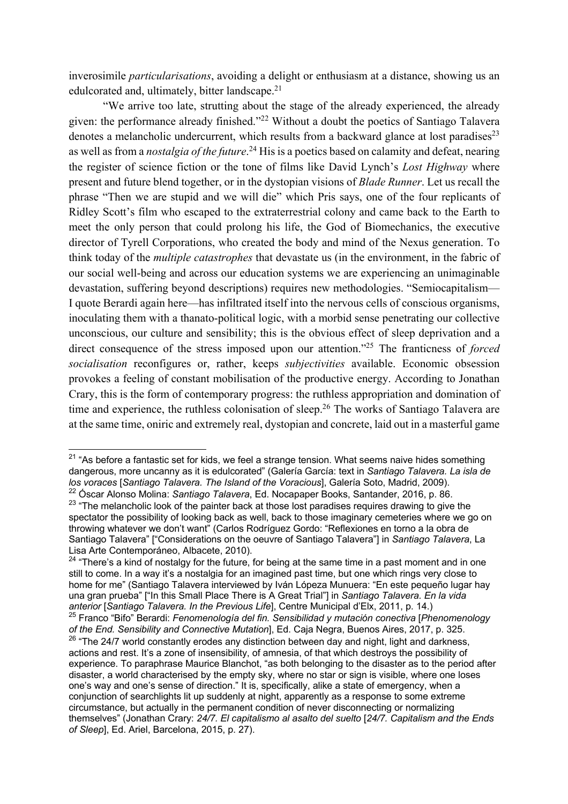inverosimile *particularisations*, avoiding a delight or enthusiasm at a distance, showing us an edulcorated and, ultimately, bitter landscape.<sup>21</sup>

"We arrive too late, strutting about the stage of the already experienced, the already given: the performance already finished."22 Without a doubt the poetics of Santiago Talavera denotes a melancholic undercurrent, which results from a backward glance at lost paradises $^{23}$ as well as from a *nostalgia of the future*. <sup>24</sup> His is a poetics based on calamity and defeat, nearing the register of science fiction or the tone of films like David Lynch's *Lost Highway* where present and future blend together, or in the dystopian visions of *Blade Runner*. Let us recall the phrase "Then we are stupid and we will die" which Pris says, one of the four replicants of Ridley Scott's film who escaped to the extraterrestrial colony and came back to the Earth to meet the only person that could prolong his life, the God of Biomechanics, the executive director of Tyrell Corporations, who created the body and mind of the Nexus generation. To think today of the *multiple catastrophes* that devastate us (in the environment, in the fabric of our social well-being and across our education systems we are experiencing an unimaginable devastation, suffering beyond descriptions) requires new methodologies. "Semiocapitalism— I quote Berardi again here—has infiltrated itself into the nervous cells of conscious organisms, inoculating them with a thanato-political logic, with a morbid sense penetrating our collective unconscious, our culture and sensibility; this is the obvious effect of sleep deprivation and a direct consequence of the stress imposed upon our attention."25 The franticness of *forced socialisation* reconfigures or, rather, keeps *subjectivities* available. Economic obsession provokes a feeling of constant mobilisation of the productive energy. According to Jonathan Crary, this is the form of contemporary progress: the ruthless appropriation and domination of time and experience, the ruthless colonisation of sleep.<sup>26</sup> The works of Santiago Talavera are at the same time, oniric and extremely real, dystopian and concrete, laid out in a masterful game

 $21$  "As before a fantastic set for kids, we feel a strange tension. What seems naive hides something dangerous, more uncanny as it is edulcorated" (Galería García: text in *Santiago Talavera. La isla de los voraces* [*Santiago Talavera. The Island of the Voracious*], Galería Soto, Madrid, 2009).

<sup>22</sup> Óscar Alonso Molina: *Santiago Talavera*, Ed. Nocapaper Books, Santander, 2016, p. 86.

<sup>&</sup>lt;sup>23</sup> "The melancholic look of the painter back at those lost paradises requires drawing to give the spectator the possibility of looking back as well, back to those imaginary cemeteries where we go on throwing whatever we don't want" (Carlos Rodríguez Gordo: "Reflexiones en torno a la obra de Santiago Talavera" ["Considerations on the oeuvre of Santiago Talavera"] in *Santiago Talavera*, La Lisa Arte Contemporáneo, Albacete, 2010).

 $24$  "There's a kind of nostalgy for the future, for being at the same time in a past moment and in one still to come. In a way it's a nostalgia for an imagined past time, but one which rings very close to home for me" (Santiago Talavera interviewed by Iván Lópeza Munuera: "En este pequeño lugar hay una gran prueba" ["In this Small Place There is A Great Trial"] in *Santiago Talavera. En la vida anterior* [*Santiago Talavera. In the Previous Life*], Centre Municipal d'Elx, 2011, p. 14.) <sup>25</sup> Franco "Bifo" Berardi: *Fenomenología del fin. Sensibilidad y mutación conectiva* [*Phenomenology of the End. Sensibility and Connective Mutation*], Ed. Caja Negra, Buenos Aires, 2017, p. 325.  $26$  "The 24/7 world constantly erodes any distinction between day and night, light and darkness, actions and rest. It's a zone of insensibility, of amnesia, of that which destroys the possibility of experience. To paraphrase Maurice Blanchot, "as both belonging to the disaster as to the period after disaster, a world characterised by the empty sky, where no star or sign is visible, where one loses one's way and one's sense of direction." It is, specifically, alike a state of emergency, when a conjunction of searchlights lit up suddenly at night, apparently as a response to some extreme circumstance, but actually in the permanent condition of never disconnecting or normalizing themselves" (Jonathan Crary: *24/7. El capitalismo al asalto del suelto* [*24/7. Capitalism and the Ends of Sleep*], Ed. Ariel, Barcelona, 2015, p. 27).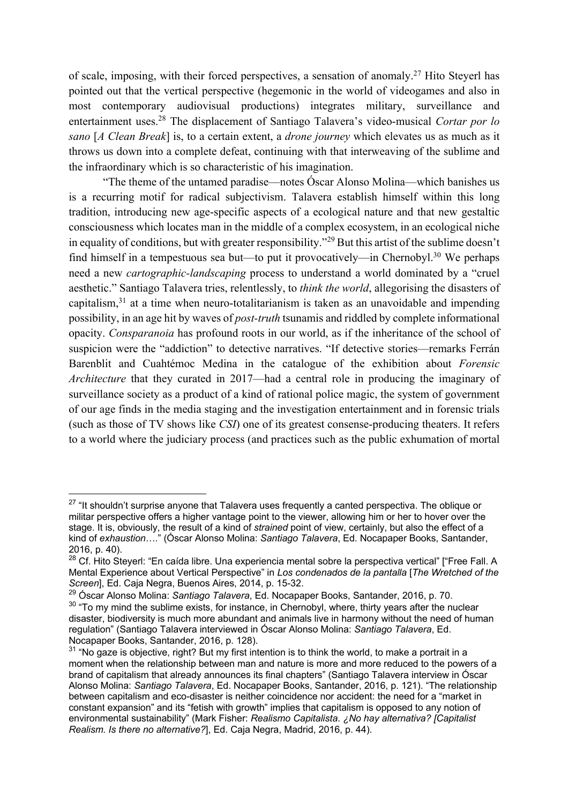of scale, imposing, with their forced perspectives, a sensation of anomaly.27 Hito Steyerl has pointed out that the vertical perspective (hegemonic in the world of videogames and also in most contemporary audiovisual productions) integrates military, surveillance and entertainment uses.28 The displacement of Santiago Talavera's video-musical *Cortar por lo sano* [*A Clean Break*] is, to a certain extent, a *drone journey* which elevates us as much as it throws us down into a complete defeat, continuing with that interweaving of the sublime and the infraordinary which is so characteristic of his imagination.

"The theme of the untamed paradise—notes Óscar Alonso Molina—which banishes us is a recurring motif for radical subjectivism. Talavera establish himself within this long tradition, introducing new age-specific aspects of a ecological nature and that new gestaltic consciousness which locates man in the middle of a complex ecosystem, in an ecological niche in equality of conditions, but with greater responsibility."29 But this artist of the sublime doesn't find himself in a tempestuous sea but—to put it provocatively—in Chernobyl.<sup>30</sup> We perhaps need a new *cartographic-landscaping* process to understand a world dominated by a "cruel aesthetic." Santiago Talavera tries, relentlessly, to *think the world*, allegorising the disasters of capitalism, $31$  at a time when neuro-totalitarianism is taken as an unavoidable and impending possibility, in an age hit by waves of *post-truth* tsunamis and riddled by complete informational opacity. *Consparanoia* has profound roots in our world, as if the inheritance of the school of suspicion were the "addiction" to detective narratives. "If detective stories—remarks Ferrán Barenblit and Cuahtémoc Medina in the catalogue of the exhibition about *Forensic Architecture* that they curated in 2017—had a central role in producing the imaginary of surveillance society as a product of a kind of rational police magic, the system of government of our age finds in the media staging and the investigation entertainment and in forensic trials (such as those of TV shows like *CSI*) one of its greatest consense-producing theaters. It refers to a world where the judiciary process (and practices such as the public exhumation of mortal

<sup>&</sup>lt;sup>27</sup> "It shouldn't surprise anyone that Talavera uses frequently a canted perspectiva. The oblique or militar perspective offers a higher vantage point to the viewer, allowing him or her to hover over the stage. It is, obviously, the result of a kind of *strained* point of view, certainly, but also the effect of a kind of *exhaustion*…." (Óscar Alonso Molina: *Santiago Talavera*, Ed. Nocapaper Books, Santander, 2016, p. 40).

<sup>&</sup>lt;sup>28</sup> Cf. Hito Steyerl: "En caída libre. Una experiencia mental sobre la perspectiva vertical" ["Free Fall. A Mental Experience about Vertical Perspective" in *Los condenados de la pantalla* [*The Wretched of the Screen*], Ed. Caja Negra, Buenos Aires, 2014, p. 15-32.

<sup>29</sup> Óscar Alonso Molina: *Santiago Talavera*, Ed. Nocapaper Books, Santander, 2016, p. 70.

 $30$  "To my mind the sublime exists, for instance, in Chernobyl, where, thirty years after the nuclear disaster, biodiversity is much more abundant and animals live in harmony without the need of human regulation" (Santiago Talavera interviewed in Óscar Alonso Molina: *Santiago Talavera*, Ed. Nocapaper Books, Santander, 2016, p. 128).

 $31$  "No gaze is objective, right? But my first intention is to think the world, to make a portrait in a moment when the relationship between man and nature is more and more reduced to the powers of a brand of capitalism that already announces its final chapters" (Santiago Talavera interview in Óscar Alonso Molina: *Santiago Talavera*, Ed. Nocapaper Books, Santander, 2016, p. 121). "The relationship between capitalism and eco-disaster is neither coincidence nor accident: the need for a "market in constant expansion" and its "fetish with growth" implies that capitalism is opposed to any notion of environmental sustainability" (Mark Fisher: *Realismo Capitalista*. *¿No hay alternativa? [Capitalist Realism. Is there no alternative?*], Ed. Caja Negra, Madrid, 2016, p. 44).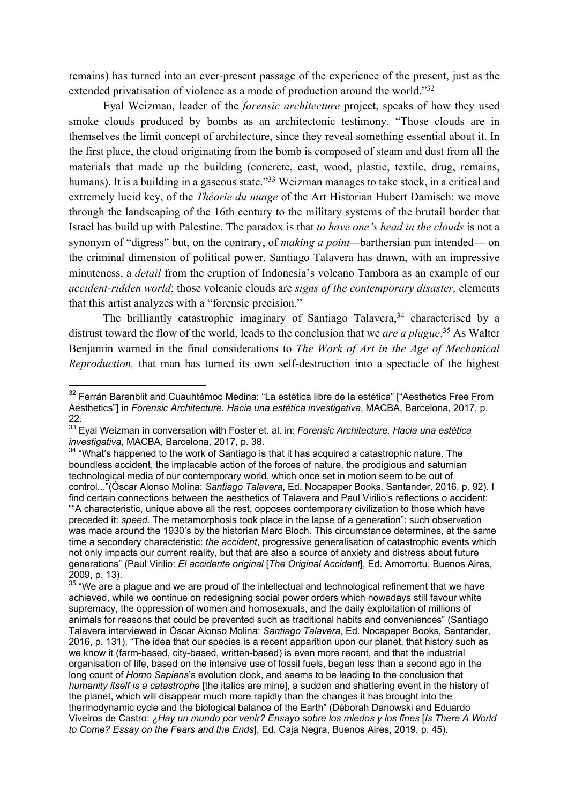remains) has turned into an ever-present passage of the experience of the present, just as the extended privatisation of violence as a mode of production around the world."32

Eyal Weizman, leader of the *forensic architecture* project, speaks of how they used smoke clouds produced by bombs as an architectonic testimony. "Those clouds are in themselves the limit concept of architecture, since they reveal something essential about it. In the first place, the cloud originating from the bomb is composed of steam and dust from all the materials that made up the building (concrete, cast, wood, plastic, textile, drug, remains, humans). It is a building in a gaseous state."<sup>33</sup> Weizman manages to take stock, in a critical and extremely lucid key, of the *Théorie du nuage* of the Art Historian Hubert Damisch: we move through the landscaping of the 16th century to the military systems of the brutail border that Israel has build up with Palestine. The paradox is that *to have one's head in the clouds* is not a synonym of "digress" but, on the contrary, of *making a point—*barthersian pun intended— on the criminal dimension of political power. Santiago Talavera has drawn, with an impressive minuteness, a *detail* from the eruption of Indonesia's volcano Tambora as an example of our *accident-ridden world*; those volcanic clouds are *signs of the contemporary disaster,* elements that this artist analyzes with a "forensic precision."

The brilliantly catastrophic imaginary of Santiago Talavera,<sup>34</sup> characterised by a distrust toward the flow of the world, leads to the conclusion that we *are a plague*. <sup>35</sup> As Walter Benjamin warned in the final considerations to *The Work of Art in the Age of Mechanical Reproduction,* that man has turned its own self-destruction into a spectacle of the highest

<sup>&</sup>lt;sup>32</sup> Ferrán Barenblit and Cuauhtémoc Medina: "La estética libre de la estética" ["Aesthetics Free From Aesthetics"] in *Forensic Architecture. Hacia una estética investigativa*, MACBA, Barcelona, 2017, p. 22.

<sup>33</sup> Eyal Weizman in conversation with Foster et. al. in: *Forensic Architecture. Hacia una estética investigativa*, MACBA, Barcelona, 2017, p. 38.

 $34$  "What's happened to the work of Santiago is that it has acquired a catastrophic nature. The boundless accident, the implacable action of the forces of nature, the prodigious and saturnian technological media of our contemporary world, which once set in motion seem to be out of control..."(Óscar Alonso Molina: *Santiago Talavera*, Ed. Nocapaper Books, Santander, 2016, p. 92). I find certain connections between the aesthetics of Talavera and Paul Virilio's reflections o accident: ""A characteristic, unique above all the rest, opposes contemporary civilization to those which have preceded it: *speed*. The metamorphosis took place in the lapse of a generation": such observation was made around the 1930's by the historian Marc Bloch. This circumstance determines, at the same time a secondary characteristic: *the accident*, progressive generalisation of catastrophic events which not only impacts our current reality, but that are also a source of anxiety and distress about future generations" (Paul Virilio: *El accidente original* [*The Original Accident*], Ed. Amorrortu, Buenos Aires, 2009, p. 13).

 $35$  "We are a plague and we are proud of the intellectual and technological refinement that we have achieved, while we continue on redesigning social power orders which nowadays still favour white supremacy, the oppression of women and homosexuals, and the daily exploitation of millions of animals for reasons that could be prevented such as traditional habits and conveniences" (Santiago Talavera interviewed in Óscar Alonso Molina: *Santiago Talavera*, Ed. Nocapaper Books, Santander, 2016, p. 131). "The idea that our species is a recent apparition upon our planet, that history such as we know it (farm-based, city-based, written-based) is even more recent, and that the industrial organisation of life, based on the intensive use of fossil fuels, began less than a second ago in the long count of *Homo Sapiens*'s evolution clock, and seems to be leading to the conclusion that *humanity itself is a catastrophe* [the italics are mine], a sudden and shattering event in the history of the planet, which will disappear much more rapidly than the changes it has brought into the thermodynamic cycle and the biological balance of the Earth" (Déborah Danowski and Eduardo Viveiros de Castro: *¿Hay un mundo por venir? Ensayo sobre los miedos y los fines* [*Is There A World to Come? Essay on the Fears and the Ends*], Ed. Caja Negra, Buenos Aires, 2019, p. 45).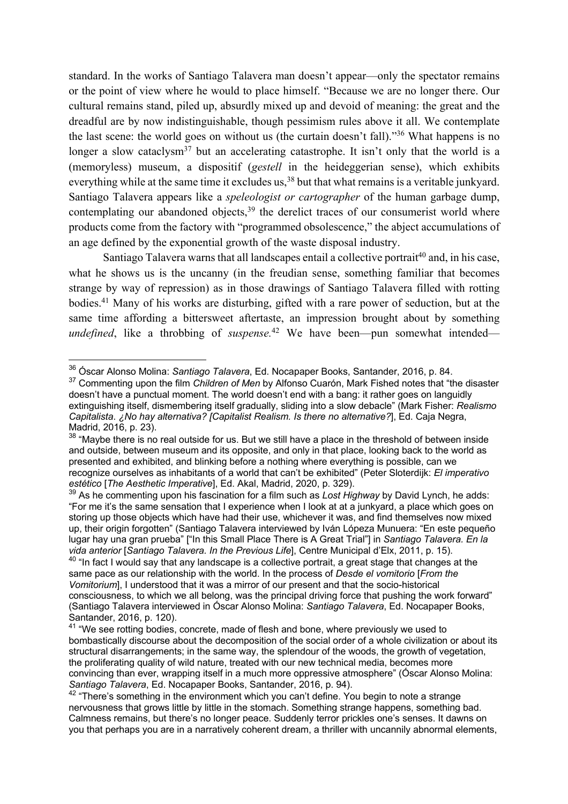standard. In the works of Santiago Talavera man doesn't appear—only the spectator remains or the point of view where he would to place himself. "Because we are no longer there. Our cultural remains stand, piled up, absurdly mixed up and devoid of meaning: the great and the dreadful are by now indistinguishable, though pessimism rules above it all. We contemplate the last scene: the world goes on without us (the curtain doesn't fall)."36 What happens is no longer a slow cataclysm<sup>37</sup> but an accelerating catastrophe. It isn't only that the world is a (memoryless) museum, a dispositif (*gestell* in the heideggerian sense), which exhibits everything while at the same time it excludes us,<sup>38</sup> but that what remains is a veritable junkyard. Santiago Talavera appears like a *speleologist or cartographer* of the human garbage dump, contemplating our abandoned objects, $39$  the derelict traces of our consumerist world where products come from the factory with "programmed obsolescence," the abject accumulations of an age defined by the exponential growth of the waste disposal industry.

Santiago Talavera warns that all landscapes entail a collective portrait<sup>40</sup> and, in his case, what he shows us is the uncanny (in the freudian sense, something familiar that becomes strange by way of repression) as in those drawings of Santiago Talavera filled with rotting bodies.41 Many of his works are disturbing, gifted with a rare power of seduction, but at the same time affording a bittersweet aftertaste, an impression brought about by something *undefined*, like a throbbing of *suspense*.<sup>42</sup> We have been—pun somewhat intended—

<sup>36</sup> Óscar Alonso Molina: *Santiago Talavera*, Ed. Nocapaper Books, Santander, 2016, p. 84.

<sup>37</sup> Commenting upon the film *Children of Men* by Alfonso Cuarón, Mark Fished notes that "the disaster doesn't have a punctual moment. The world doesn't end with a bang: it rather goes on languidly extinguishing itself, dismembering itself gradually, sliding into a slow debacle" (Mark Fisher: *Realismo Capitalista*. *¿No hay alternativa? [Capitalist Realism. Is there no alternative?*], Ed. Caja Negra, Madrid, 2016, p. 23).

<sup>&</sup>lt;sup>38</sup> "Maybe there is no real outside for us. But we still have a place in the threshold of between inside and outside, between museum and its opposite, and only in that place, looking back to the world as presented and exhibited, and blinking before a nothing where everything is possible, can we recognize ourselves as inhabitants of a world that can't be exhibited" (Peter Sloterdijk: *El imperativo estético* [*The Aesthetic Imperative*], Ed. Akal, Madrid, 2020, p. 329).

<sup>39</sup> As he commenting upon his fascination for a film such as *Lost Highway* by David Lynch, he adds: "For me it's the same sensation that I experience when I look at at a junkyard, a place which goes on storing up those objects which have had their use, whichever it was, and find themselves now mixed up, their origin forgotten" (Santiago Talavera interviewed by Iván Lópeza Munuera: "En este pequeño lugar hay una gran prueba" ["In this Small Place There is A Great Trial"] in *Santiago Talavera. En la vida anterior* [*Santiago Talavera. In the Previous Life*], Centre Municipal d'Elx, 2011, p. 15).

<sup>&</sup>lt;sup>40</sup> "In fact I would say that any landscape is a collective portrait, a great stage that changes at the same pace as our relationship with the world. In the process of *Desde el vomitorio* [*From the Vomitorium*], I understood that it was a mirror of our present and that the socio-historical consciousness, to which we all belong, was the principal driving force that pushing the work forward" (Santiago Talavera interviewed in Óscar Alonso Molina: *Santiago Talavera*, Ed. Nocapaper Books, Santander, 2016, p. 120).

<sup>&</sup>lt;sup>41</sup> "We see rotting bodies, concrete, made of flesh and bone, where previously we used to bombastically discourse about the decomposition of the social order of a whole civilization or about its structural disarrangements; in the same way, the splendour of the woods, the growth of vegetation, the proliferating quality of wild nature, treated with our new technical media, becomes more convincing than ever, wrapping itself in a much more oppressive atmosphere" (Óscar Alonso Molina: *Santiago Talavera*, Ed. Nocapaper Books, Santander, 2016, p. 94).

 $42$  "There's something in the environment which you can't define. You begin to note a strange nervousness that grows little by little in the stomach. Something strange happens, something bad. Calmness remains, but there's no longer peace. Suddenly terror prickles one's senses. It dawns on you that perhaps you are in a narratively coherent dream, a thriller with uncannily abnormal elements,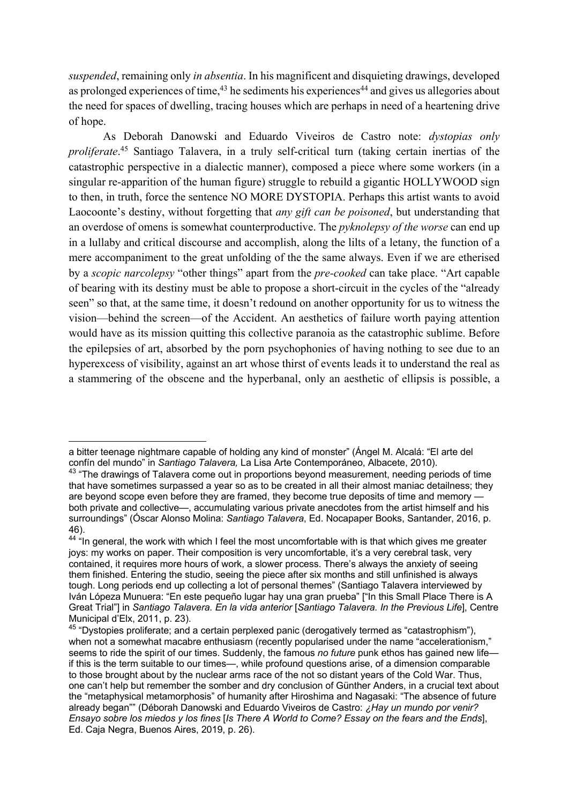*suspended*, remaining only *in absentia*. In his magnificent and disquieting drawings, developed as prolonged experiences of time,  $43$  he sediments his experiences  $44$  and gives us allegories about the need for spaces of dwelling, tracing houses which are perhaps in need of a heartening drive of hope.

As Deborah Danowski and Eduardo Viveiros de Castro note: *dystopias only proliferate*. <sup>45</sup> Santiago Talavera, in a truly self-critical turn (taking certain inertias of the catastrophic perspective in a dialectic manner), composed a piece where some workers (in a singular re-apparition of the human figure) struggle to rebuild a gigantic HOLLYWOOD sign to then, in truth, force the sentence NO MORE DYSTOPIA. Perhaps this artist wants to avoid Laocoonte's destiny, without forgetting that *any gift can be poisoned*, but understanding that an overdose of omens is somewhat counterproductive. The *pyknolepsy of the worse* can end up in a lullaby and critical discourse and accomplish, along the lilts of a letany, the function of a mere accompaniment to the great unfolding of the the same always. Even if we are etherised by a *scopic narcolepsy* "other things" apart from the *pre-cooked* can take place. "Art capable of bearing with its destiny must be able to propose a short-circuit in the cycles of the "already seen" so that, at the same time, it doesn't redound on another opportunity for us to witness the vision—behind the screen—of the Accident. An aesthetics of failure worth paying attention would have as its mission quitting this collective paranoia as the catastrophic sublime. Before the epilepsies of art, absorbed by the porn psychophonies of having nothing to see due to an hyperexcess of visibility, against an art whose thirst of events leads it to understand the real as a stammering of the obscene and the hyperbanal, only an aesthetic of ellipsis is possible, a

a bitter teenage nightmare capable of holding any kind of monster" (Ángel M. Alcalá: "El arte del confín del mundo" in *Santiago Talavera,* La Lisa Arte Contemporáneo, Albacete, 2010).

<sup>&</sup>lt;sup>43</sup> "The drawings of Talavera come out in proportions beyond measurement, needing periods of time that have sometimes surpassed a year so as to be created in all their almost maniac detailness; they are beyond scope even before they are framed, they become true deposits of time and memory both private and collective—, accumulating various private anecdotes from the artist himself and his surroundings" (Óscar Alonso Molina: *Santiago Talavera*, Ed. Nocapaper Books, Santander, 2016, p. 46).

 $44$  "In general, the work with which I feel the most uncomfortable with is that which gives me greater joys: my works on paper. Their composition is very uncomfortable, it's a very cerebral task, very contained, it requires more hours of work, a slower process. There's always the anxiety of seeing them finished. Entering the studio, seeing the piece after six months and still unfinished is always tough. Long periods end up collecting a lot of personal themes" (Santiago Talavera interviewed by Iván Lópeza Munuera: "En este pequeño lugar hay una gran prueba" ["In this Small Place There is A Great Trial"] in *Santiago Talavera. En la vida anterior* [*Santiago Talavera. In the Previous Life*], Centre Municipal d'Elx, 2011, p. 23).

<sup>&</sup>lt;sup>45</sup> "Dvstopies proliferate; and a certain perplexed panic (derogatively termed as "catastrophism"), when not a somewhat macabre enthusiasm (recently popularised under the name "accelerationism," seems to ride the spirit of our times. Suddenly, the famous *no future* punk ethos has gained new life if this is the term suitable to our times—, while profound questions arise, of a dimension comparable to those brought about by the nuclear arms race of the not so distant years of the Cold War. Thus, one can't help but remember the somber and dry conclusion of Günther Anders, in a crucial text about the "metaphysical metamorphosis" of humanity after Hiroshima and Nagasaki: "The absence of future already began"" (Déborah Danowski and Eduardo Viveiros de Castro: *¿Hay un mundo por venir? Ensayo sobre los miedos y los fines* [*Is There A World to Come? Essay on the fears and the Ends*], Ed. Caja Negra, Buenos Aires, 2019, p. 26).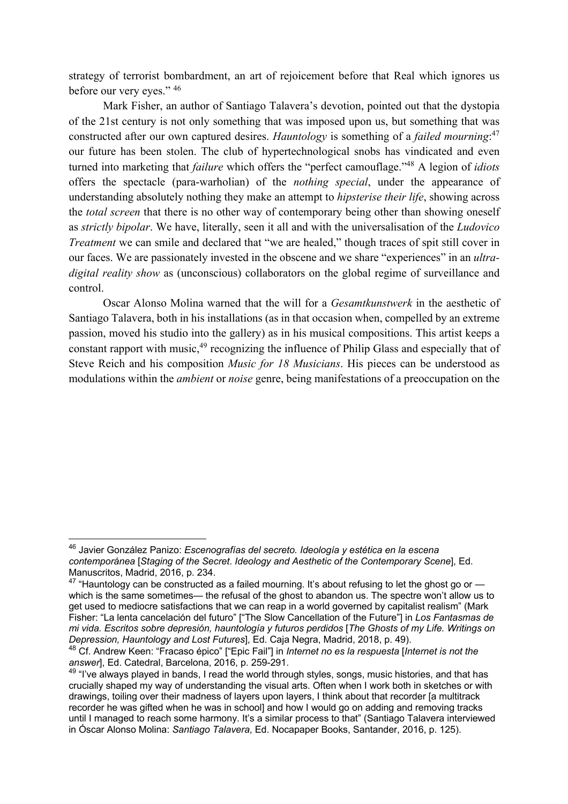strategy of terrorist bombardment, an art of rejoicement before that Real which ignores us before our very eyes." 46

Mark Fisher, an author of Santiago Talavera's devotion, pointed out that the dystopia of the 21st century is not only something that was imposed upon us, but something that was constructed after our own captured desires. *Hauntology* is something of a *failed mourning*: 47 our future has been stolen. The club of hypertechnological snobs has vindicated and even turned into marketing that *failure* which offers the "perfect camouflage."48 A legion of *idiots*  offers the spectacle (para-warholian) of the *nothing special*, under the appearance of understanding absolutely nothing they make an attempt to *hipsterise their life*, showing across the *total screen* that there is no other way of contemporary being other than showing oneself as *strictly bipolar*. We have, literally, seen it all and with the universalisation of the *Ludovico Treatment* we can smile and declared that "we are healed," though traces of spit still cover in our faces. We are passionately invested in the obscene and we share "experiences" in an *ultradigital reality show* as (unconscious) collaborators on the global regime of surveillance and control.

Oscar Alonso Molina warned that the will for a *Gesamtkunstwerk* in the aesthetic of Santiago Talavera, both in his installations (as in that occasion when, compelled by an extreme passion, moved his studio into the gallery) as in his musical compositions. This artist keeps a constant rapport with music,<sup>49</sup> recognizing the influence of Philip Glass and especially that of Steve Reich and his composition *Music for 18 Musicians*. His pieces can be understood as modulations within the *ambient* or *noise* genre, being manifestations of a preoccupation on the

<sup>46</sup> Javier González Panizo: *Escenografías del secreto. Ideología y estética en la escena contemporánea* [*Staging of the Secret*. *Ideology and Aesthetic of the Contemporary Scene*], Ed. Manuscritos, Madrid, 2016, p. 234.

 $47$  "Hauntology can be constructed as a failed mourning. It's about refusing to let the ghost go or  $$ which is the same sometimes— the refusal of the ghost to abandon us. The spectre won't allow us to get used to mediocre satisfactions that we can reap in a world governed by capitalist realism" (Mark Fisher: "La lenta cancelación del futuro" ["The Slow Cancellation of the Future"] in *Los Fantasmas de mi vida. Escritos sobre depresión, hauntología y futuros perdidos* [*The Ghosts of my Life. Writings on Depression, Hauntology and Lost Futures*], Ed. Caja Negra, Madrid, 2018, p. 49).

<sup>48</sup> Cf. Andrew Keen: "Fracaso épico" ["Epic Fail"] in *Internet no es la respuesta* [*Internet is not the answer*], Ed. Catedral, Barcelona, 2016, p. 259-291.

<sup>&</sup>lt;sup>49</sup> "I've always played in bands, I read the world through styles, songs, music histories, and that has crucially shaped my way of understanding the visual arts. Often when I work both in sketches or with drawings, toiling over their madness of layers upon layers, I think about that recorder [a multitrack recorder he was gifted when he was in school] and how I would go on adding and removing tracks until I managed to reach some harmony. It's a similar process to that" (Santiago Talavera interviewed in Óscar Alonso Molina: *Santiago Talavera*, Ed. Nocapaper Books, Santander, 2016, p. 125).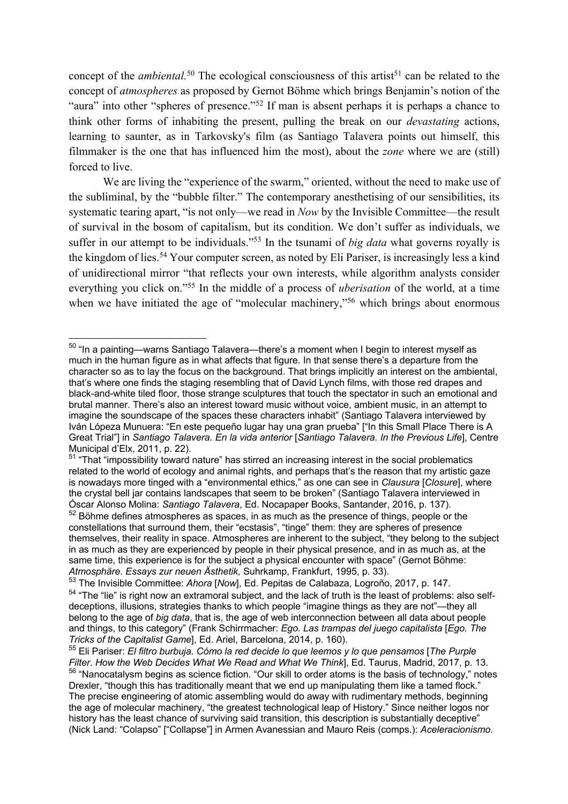concept of the *ambiental*.<sup>50</sup> The ecological consciousness of this artist<sup>51</sup> can be related to the concept of *atmospheres* as proposed by Gernot Böhme which brings Benjamin's notion of the "aura" into other "spheres of presence."<sup>52</sup> If man is absent perhaps it is perhaps a chance to think other forms of inhabiting the present, pulling the break on our *devastating* actions, learning to saunter, as in Tarkovsky's film (as Santiago Talavera points out himself, this filmmaker is the one that has influenced him the most), about the *zone* where we are (still) forced to live.

We are living the "experience of the swarm," oriented, without the need to make use of the subliminal, by the "bubble filter." The contemporary anesthetising of our sensibilities, its systematic tearing apart, "is not only—we read in *Now* by the Invisible Committee—the result of survival in the bosom of capitalism, but its condition. We don't suffer as individuals, we suffer in our attempt to be individuals."53 In the tsunami of *big data* what governs royally is the kingdom of lies.54 Your computer screen, as noted by Eli Pariser, is increasingly less a kind of unidirectional mirror "that reflects your own interests, while algorithm analysts consider everything you click on."55 In the middle of a process of *uberisation* of the world, at a time when we have initiated the age of "molecular machinery,"<sup>56</sup> which brings about enormous

 $50$  "In a painting—warns Santiago Talavera—there's a moment when I begin to interest myself as much in the human figure as in what affects that figure. In that sense there's a departure from the character so as to lay the focus on the background. That brings implicitly an interest on the ambiental, that's where one finds the staging resembling that of David Lynch films, with those red drapes and black-and-white tiled floor, those strange sculptures that touch the spectator in such an emotional and brutal manner. There's also an interest toward music without voice, ambient music, in an attempt to imagine the soundscape of the spaces these characters inhabit" (Santiago Talavera interviewed by Iván Lópeza Munuera: "En este pequeño lugar hay una gran prueba" ["In this Small Place There is A Great Trial"] in *Santiago Talavera. En la vida anterior* [*Santiago Talavera. In the Previous Life*], Centre Municipal d'Elx, 2011, p. 22).

<sup>&</sup>lt;sup>51</sup> "That "impossibility toward nature" has stirred an increasing interest in the social problematics related to the world of ecology and animal rights, and perhaps that's the reason that my artistic gaze is nowadays more tinged with a "environmental ethics," as one can see in *Clausura* [*Closure*], where the crystal bell jar contains landscapes that seem to be broken" (Santiago Talavera interviewed in Óscar Alonso Molina: *Santiago Talavera*, Ed. Nocapaper Books, Santander, 2016, p. 137).  $52$  Böhme defines atmospheres as spaces, in as much as the presence of things, people or the

constellations that surround them, their "ecstasis", "tinge" them: they are spheres of presence themselves, their reality in space. Atmospheres are inherent to the subject, "they belong to the subject in as much as they are experienced by people in their physical presence, and in as much as, at the same time, this experience is for the subject a physical encounter with space" (Gernot Böhme: *Atmosphäre. Essays zur neuen Ästhetik,* Suhrkamp, Frankfurt, 1995, p. 33).

<sup>53</sup> The Invisible Committee: *Ahora* [*Now*], Ed. Pepitas de Calabaza, Logroño, 2017, p. 147. <sup>54</sup> "The "lie" is right now an extramoral subject, and the lack of truth is the least of problems: also selfdeceptions, illusions, strategies thanks to which people "imagine things as they are not"—they all belong to the age of *big data*, that is, the age of web interconnection between all data about people and things, to this category" (Frank Schirrmacher: *Ego. Las trampas del juego capitalista* [*Ego. The Tricks of the Capitalist Game*], Ed. Ariel, Barcelona, 2014, p. 160).

<sup>55</sup> Eli Pariser: *El filtro burbuja. Cómo la red decide lo que leemos y lo que pensamos* [*The Purple Filter*. *How the Web Decides What We Read and What We Think*], Ed. Taurus, Madrid, 2017, p. 13. <sup>56</sup> "Nanocatalysm begins as science fiction. "Our skill to order atoms is the basis of technology," notes Drexler, "though this has traditionally meant that we end up manipulating them like a tamed flock." The precise engineering of atomic assembling would do away with rudimentary methods, beginning the age of molecular machinery, "the greatest technological leap of History." Since neither logos nor history has the least chance of surviving said transition, this description is substantially deceptive" (Nick Land: "Colapso" ["Collapse"] in Armen Avanessian and Mauro Reis (comps.): *Aceleracionismo.*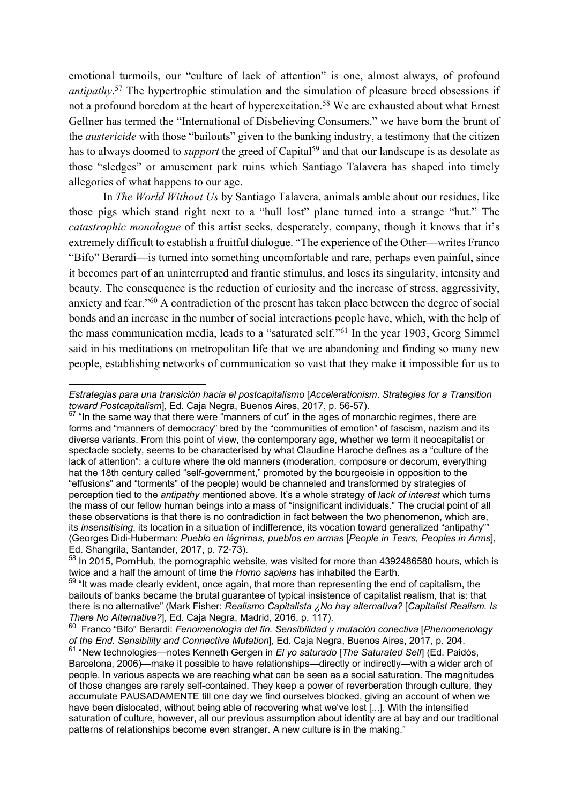emotional turmoils, our "culture of lack of attention" is one, almost always, of profound *antipathy*. <sup>57</sup> The hypertrophic stimulation and the simulation of pleasure breed obsessions if not a profound boredom at the heart of hyperexcitation.<sup>58</sup> We are exhausted about what Ernest Gellner has termed the "International of Disbelieving Consumers," we have born the brunt of the *austericide* with those "bailouts" given to the banking industry, a testimony that the citizen has to always doomed to *support* the greed of Capital<sup>59</sup> and that our landscape is as desolate as those "sledges" or amusement park ruins which Santiago Talavera has shaped into timely allegories of what happens to our age.

In *The World Without Us* by Santiago Talavera, animals amble about our residues, like those pigs which stand right next to a "hull lost" plane turned into a strange "hut." The *catastrophic monologue* of this artist seeks, desperately, company, though it knows that it's extremely difficult to establish a fruitful dialogue. "The experience of the Other—writes Franco "Bifo" Berardi—is turned into something uncomfortable and rare, perhaps even painful, since it becomes part of an uninterrupted and frantic stimulus, and loses its singularity, intensity and beauty. The consequence is the reduction of curiosity and the increase of stress, aggressivity, anxiety and fear."60 A contradiction of the present has taken place between the degree of social bonds and an increase in the number of social interactions people have, which, with the help of the mass communication media, leads to a "saturated self."61 In the year 1903, Georg Simmel said in his meditations on metropolitan life that we are abandoning and finding so many new people, establishing networks of communication so vast that they make it impossible for us to

*Estrategias para una transición hacia el postcapitalismo* [*Accelerationism*. *Strategies for a Transition toward Postcapitalism*], Ed. Caja Negra, Buenos Aires, 2017, p. 56-57).

 $57$  "In the same way that there were "manners of cut" in the ages of monarchic regimes, there are forms and "manners of democracy" bred by the "communities of emotion" of fascism, nazism and its diverse variants. From this point of view, the contemporary age, whether we term it neocapitalist or spectacle society, seems to be characterised by what Claudine Haroche defines as a "culture of the lack of attention": a culture where the old manners (moderation, composure or decorum, everything hat the 18th century called "self-government," promoted by the bourgeoisie in opposition to the "effusions" and "torments" of the people) would be channeled and transformed by strategies of perception tied to the *antipathy* mentioned above. It's a whole strategy of *lack of interest* which turns the mass of our fellow human beings into a mass of "insignificant individuals." The crucial point of all these observations is that there is no contradiction in fact between the two phenomenon, which are, its *insensitising*, its location in a situation of indifference, its vocation toward generalized "antipathy"" (Georges Didi-Huberman: *Pueblo en lágrimas, pueblos en armas* [*People in Tears, Peoples in Arms*], Ed. Shangrila, Santander, 2017, p. 72-73).

<sup>&</sup>lt;sup>58</sup> In 2015, PornHub, the pornographic website, was visited for more than 4392486580 hours, which is twice and a half the amount of time the *Homo sapiens* has inhabited the Earth.

<sup>&</sup>lt;sup>59</sup> "It was made clearly evident, once again, that more than representing the end of capitalism, the bailouts of banks became the brutal guarantee of typical insistence of capitalist realism, that is: that there is no alternative" (Mark Fisher: *Realismo Capitalista ¿No hay alternativa?* [*Capitalist Realism. Is There No Alternative?*], Ed. Caja Negra, Madrid, 2016, p. 117).

<sup>60</sup> Franco "Bifo" Berardi: *Fenomenología del fin. Sensibilidad y mutación conectiva* [*Phenomenology of the End. Sensibility and Connective Mutation*], Ed. Caja Negra, Buenos Aires, 2017, p. 204.

<sup>61</sup> "New technologies—notes Kenneth Gergen in *El yo saturado* [*The Saturated Self*] (Ed. Paidós, Barcelona, 2006)—make it possible to have relationships—directly or indirectly—with a wider arch of people. In various aspects we are reaching what can be seen as a social saturation. The magnitudes of those changes are rarely self-contained. They keep a power of reverberation through culture, they accumulate PAUSADAMENTE till one day we find ourselves blocked, giving an account of when we have been dislocated, without being able of recovering what we've lost [...]. With the intensified saturation of culture, however, all our previous assumption about identity are at bay and our traditional patterns of relationships become even stranger. A new culture is in the making."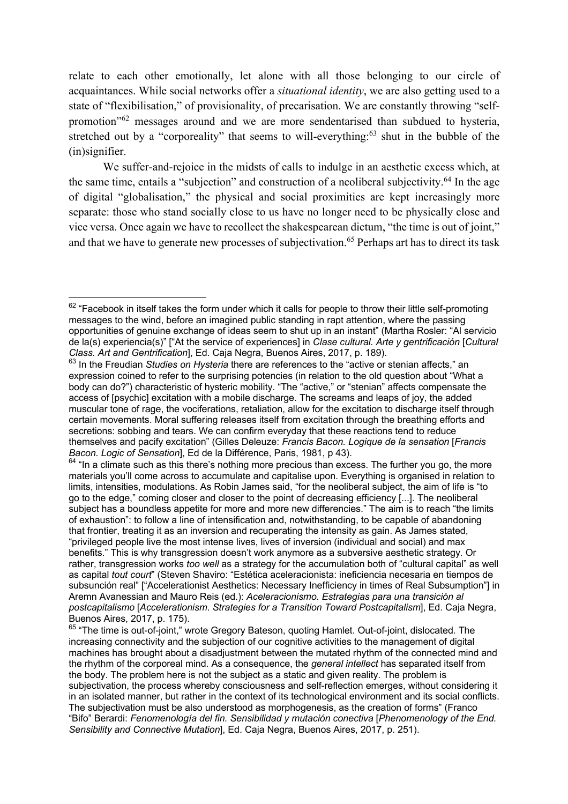relate to each other emotionally, let alone with all those belonging to our circle of acquaintances. While social networks offer a *situational identity*, we are also getting used to a state of "flexibilisation," of provisionality, of precarisation. We are constantly throwing "selfpromotion"62 messages around and we are more sendentarised than subdued to hysteria, stretched out by a "corporeality" that seems to will-everything: $63$  shut in the bubble of the (in)signifier.

We suffer-and-rejoice in the midsts of calls to indulge in an aesthetic excess which, at the same time, entails a "subjection" and construction of a neoliberal subjectivity.<sup>64</sup> In the age of digital "globalisation," the physical and social proximities are kept increasingly more separate: those who stand socially close to us have no longer need to be physically close and vice versa. Once again we have to recollect the shakespearean dictum, "the time is out of joint," and that we have to generate new processes of subjectivation.<sup>65</sup> Perhaps art has to direct its task

<sup>&</sup>lt;sup>62</sup> "Facebook in itself takes the form under which it calls for people to throw their little self-promoting messages to the wind, before an imagined public standing in rapt attention, where the passing opportunities of genuine exchange of ideas seem to shut up in an instant" (Martha Rosler: "Al servicio de la(s) experiencia(s)" ["At the service of experiences] in *Clase cultural. Arte y gentrificación* [*Cultural Class. Art and Gentrification*], Ed. Caja Negra, Buenos Aires, 2017, p. 189).

<sup>63</sup> In the Freudian *Studies on Hysteria* there are references to the "active or stenian affects," an expression coined to refer to the surprising potencies (in relation to the old question about "What a body can do?") characteristic of hysteric mobility. "The "active," or "stenian" affects compensate the access of [psychic] excitation with a mobile discharge. The screams and leaps of joy, the added muscular tone of rage, the vociferations, retaliation, allow for the excitation to discharge itself through certain movements. Moral suffering releases itself from excitation through the breathing efforts and secretions: sobbing and tears. We can confirm everyday that these reactions tend to reduce themselves and pacify excitation" (Gilles Deleuze: *Francis Bacon. Logique de la sensation* [*Francis Bacon. Logic of Sensation*], Ed de la Différence, Paris, 1981, p 43).

 $64$  "In a climate such as this there's nothing more precious than excess. The further you go, the more materials you'll come across to accumulate and capitalise upon. Everything is organised in relation to limits, intensities, modulations. As Robin James said, "for the neoliberal subject, the aim of life is "to go to the edge," coming closer and closer to the point of decreasing efficiency [...]. The neoliberal subject has a boundless appetite for more and more new differencies." The aim is to reach "the limits of exhaustion": to follow a line of intensification and, notwithstanding, to be capable of abandoning that frontier, treating it as an inversion and recuperating the intensity as gain. As James stated, "privileged people live the most intense lives, lives of inversion (individual and social) and max benefits." This is why transgression doesn't work anymore as a subversive aesthetic strategy. Or rather, transgression works *too well* as a strategy for the accumulation both of "cultural capital" as well as capital *tout court*" (Steven Shaviro: "Estética aceleracionista: ineficiencia necesaria en tiempos de subsunción real" ["Accelerationist Aesthetics: Necessary Inefficiency in times of Real Subsumption"] in Aremn Avanessian and Mauro Reis (ed.): *Aceleracionismo. Estrategias para una transición al postcapitalismo* [*Accelerationism*. *Strategies for a Transition Toward Postcapitalism*], Ed. Caja Negra, Buenos Aires, 2017, p. 175).

<sup>&</sup>lt;sup>65</sup> "The time is out-of-ioint," wrote Gregory Bateson, quoting Hamlet. Out-of-joint, dislocated. The increasing connectivity and the subjection of our cognitive activities to the management of digital machines has brought about a disadjustment between the mutated rhythm of the connected mind and the rhythm of the corporeal mind. As a consequence, the *general intellect* has separated itself from the body. The problem here is not the subject as a static and given reality. The problem is subjectivation, the process whereby consciousness and self-reflection emerges, without considering it in an isolated manner, but rather in the context of its technological environment and its social conflicts. The subjectivation must be also understood as morphogenesis, as the creation of forms" (Franco "Bifo" Berardi: *Fenomenología del fin. Sensibilidad y mutación conectiva* [*Phenomenology of the End. Sensibility and Connective Mutation*], Ed. Caja Negra, Buenos Aires, 2017, p. 251).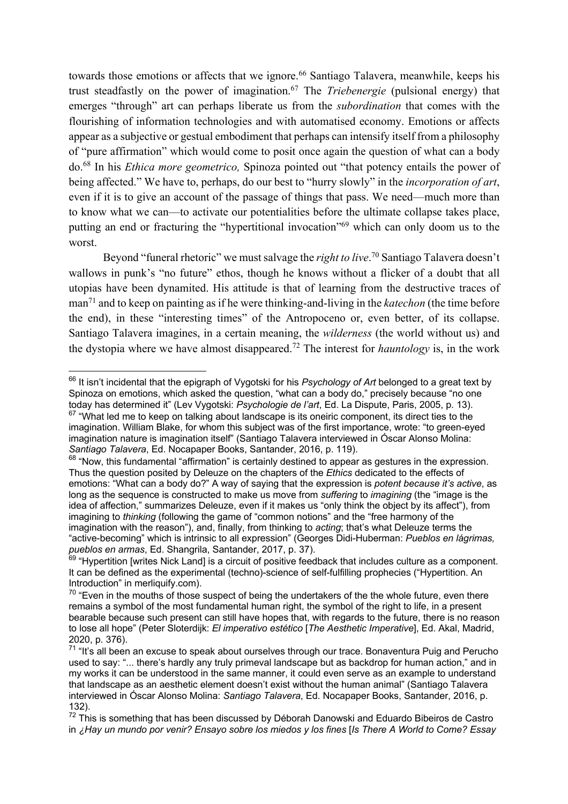towards those emotions or affects that we ignore.<sup>66</sup> Santiago Talavera, meanwhile, keeps his trust steadfastly on the power of imagination.67 The *Triebenergie* (pulsional energy) that emerges "through" art can perhaps liberate us from the *subordination* that comes with the flourishing of information technologies and with automatised economy. Emotions or affects appear as a subjective or gestual embodiment that perhaps can intensify itself from a philosophy of "pure affirmation" which would come to posit once again the question of what can a body do.68 In his *Ethica more geometrico,* Spinoza pointed out "that potency entails the power of being affected." We have to, perhaps, do our best to "hurry slowly" in the *incorporation of art*, even if it is to give an account of the passage of things that pass. We need—much more than to know what we can—to activate our potentialities before the ultimate collapse takes place, putting an end or fracturing the "hypertitional invocation"<sup>69</sup> which can only doom us to the worst.

Beyond "funeral rhetoric" we must salvage the *right to live*. <sup>70</sup> Santiago Talavera doesn't wallows in punk's "no future" ethos, though he knows without a flicker of a doubt that all utopias have been dynamited. His attitude is that of learning from the destructive traces of man71 and to keep on painting as if he were thinking-and-living in the *katechon* (the time before the end), in these "interesting times" of the Antropoceno or, even better, of its collapse. Santiago Talavera imagines, in a certain meaning, the *wilderness* (the world without us) and the dystopia where we have almost disappeared.72 The interest for *hauntology* is, in the work

<sup>66</sup> It isn't incidental that the epigraph of Vygotski for his *Psychology of Art* belonged to a great text by Spinoza on emotions, which asked the question, "what can a body do," precisely because "no one today has determined it" (Lev Vygotski: *Psychologie de l'art*, Ed. La Dispute, Paris, 2005, p. 13).  $67$  "What led me to keep on talking about landscape is its oneiric component, its direct ties to the imagination. William Blake, for whom this subject was of the first importance, wrote: "to green-eyed imagination nature is imagination itself" (Santiago Talavera interviewed in Óscar Alonso Molina: *Santiago Talavera*, Ed. Nocapaper Books, Santander, 2016, p. 119).

 $68$  "Now, this fundamental "affirmation" is certainly destined to appear as gestures in the expression. Thus the question posited by Deleuze on the chapters of the *Ethics* dedicated to the effects of emotions: "What can a body do?" A way of saying that the expression is *potent because it's active*, as long as the sequence is constructed to make us move from *suffering* to *imagining* (the "image is the idea of affection," summarizes Deleuze, even if it makes us "only think the object by its affect"), from imagining to *thinking* (following the game of "common notions" and the "free harmony of the imagination with the reason"), and, finally, from thinking to *acting*; that's what Deleuze terms the "active-becoming" which is intrinsic to all expression" (Georges Didi-Huberman: *Pueblos en lágrimas, pueblos en armas*, Ed. Shangrila, Santander, 2017, p. 37).

 $69$  "Hypertition [writes Nick Land] is a circuit of positive feedback that includes culture as a component. It can be defined as the experimental (techno)-science of self-fulfilling prophecies ("Hypertition. An Introduction" in merliquify.com).

 $70$  "Even in the mouths of those suspect of being the undertakers of the the whole future, even there remains a symbol of the most fundamental human right, the symbol of the right to life, in a present bearable because such present can still have hopes that, with regards to the future, there is no reason to lose all hope" (Peter Sloterdijk: *El imperativo estético* [*The Aesthetic Imperative*], Ed. Akal, Madrid, 2020, p. 376).

 $71$  "It's all been an excuse to speak about ourselves through our trace. Bonaventura Puig and Perucho used to say: "... there's hardly any truly primeval landscape but as backdrop for human action," and in my works it can be understood in the same manner, it could even serve as an example to understand that landscape as an aesthetic element doesn't exist without the human animal" (Santiago Talavera interviewed in Óscar Alonso Molina: *Santiago Talavera*, Ed. Nocapaper Books, Santander, 2016, p. 132).

 $72$  This is something that has been discussed by Déborah Danowski and Eduardo Bibeiros de Castro in *¿Hay un mundo por venir? Ensayo sobre los miedos y los fines* [*Is There A World to Come? Essay*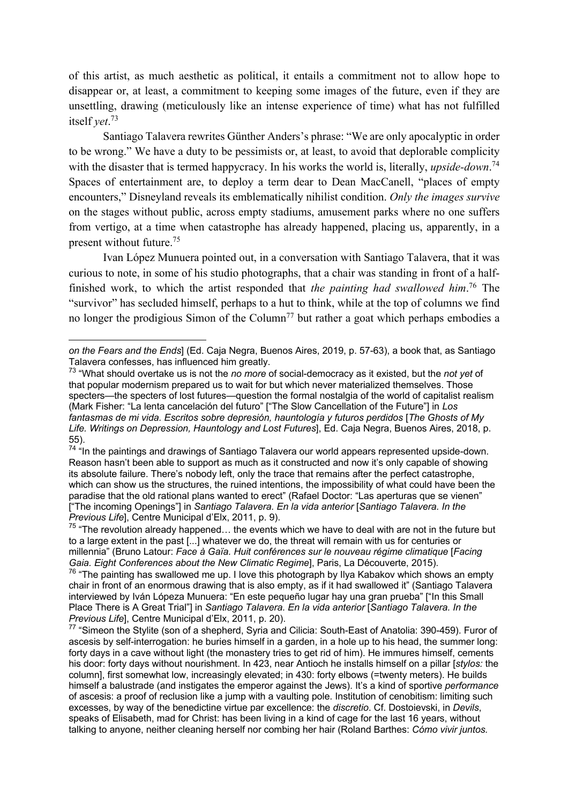of this artist, as much aesthetic as political, it entails a commitment not to allow hope to disappear or, at least, a commitment to keeping some images of the future, even if they are unsettling, drawing (meticulously like an intense experience of time) what has not fulfilled itself *yet*. 73

Santiago Talavera rewrites Günther Anders's phrase: "We are only apocalyptic in order to be wrong." We have a duty to be pessimists or, at least, to avoid that deplorable complicity with the disaster that is termed happycracy. In his works the world is, literally, *upside-down*. 74 Spaces of entertainment are, to deploy a term dear to Dean MacCanell, "places of empty encounters," Disneyland reveals its emblematically nihilist condition. *Only the images survive*  on the stages without public, across empty stadiums, amusement parks where no one suffers from vertigo, at a time when catastrophe has already happened, placing us, apparently, in a present without future.75

Ivan López Munuera pointed out, in a conversation with Santiago Talavera, that it was curious to note, in some of his studio photographs, that a chair was standing in front of a halffinished work, to which the artist responded that *the painting had swallowed him*. <sup>76</sup> The "survivor" has secluded himself, perhaps to a hut to think, while at the top of columns we find no longer the prodigious Simon of the Column<sup>77</sup> but rather a goat which perhaps embodies a

*on the Fears and the Ends*] (Ed. Caja Negra, Buenos Aires, 2019, p. 57-63), a book that, as Santiago Talavera confesses, has influenced him greatly.

<sup>73</sup> "What should overtake us is not the *no more* of social-democracy as it existed, but the *not yet* of that popular modernism prepared us to wait for but which never materialized themselves. Those specters—the specters of lost futures—question the formal nostalgia of the world of capitalist realism (Mark Fisher: "La lenta cancelación del futuro" ["The Slow Cancellation of the Future"] in *Los fantasmas de mi vida. Escritos sobre depresión, hauntología y futuros perdidos* [*The Ghosts of My Life. Writings on Depression, Hauntology and Lost Futures*], Ed. Caja Negra, Buenos Aires, 2018, p. 55).

 $74$  "In the paintings and drawings of Santiago Talavera our world appears represented upside-down. Reason hasn't been able to support as much as it constructed and now it's only capable of showing its absolute failure. There's nobody left, only the trace that remains after the perfect catastrophe, which can show us the structures, the ruined intentions, the impossibility of what could have been the paradise that the old rational plans wanted to erect" (Rafael Doctor: "Las aperturas que se vienen" ["The incoming Openings"] in *Santiago Talavera. En la vida anterior* [*Santiago Talavera. In the Previous Life*], Centre Municipal d'Elx, 2011, p. 9).

 $75$  "The revolution already happened... the events which we have to deal with are not in the future but to a large extent in the past [...] whatever we do, the threat will remain with us for centuries or millennia" (Bruno Latour: *Face à Gaïa. Huit conférences sur le nouveau régime climatique* [*Facing Gaia. Eight Conferences about the New Climatic Regime*], Paris, La Découverte, 2015).

<sup>76</sup> "The painting has swallowed me up. I love this photograph by Ilya Kabakov which shows an empty chair in front of an enormous drawing that is also empty, as if it had swallowed it" (Santiago Talavera interviewed by Iván Lópeza Munuera: "En este pequeño lugar hay una gran prueba" ["In this Small Place There is A Great Trial"] in *Santiago Talavera. En la vida anterior* [*Santiago Talavera. In the Previous Life*], Centre Municipal d'Elx, 2011, p. 20).

<sup>&</sup>lt;sup>77</sup> "Simeon the Stylite (son of a shepherd, Syria and Cilicia: South-East of Anatolia: 390-459). Furor of ascesis by self-interrogation: he buries himself in a garden, in a hole up to his head, the summer long: forty days in a cave without light (the monastery tries to get rid of him). He immures himself, cements his door: forty days without nourishment. In 423, near Antioch he installs himself on a pillar [*stylos:* the column], first somewhat low, increasingly elevated; in 430: forty elbows (=twenty meters). He builds himself a balustrade (and instigates the emperor against the Jews). It's a kind of sportive *performance* of ascesis: a proof of reclusion like a jump with a vaulting pole. Institution of cenobitism: limiting such excesses, by way of the benedictine virtue par excellence: the *discretio*. Cf. Dostoievski, in *Devils*, speaks of Elisabeth, mad for Christ: has been living in a kind of cage for the last 16 years, without talking to anyone, neither cleaning herself nor combing her hair (Roland Barthes: *Cómo vivir juntos.*